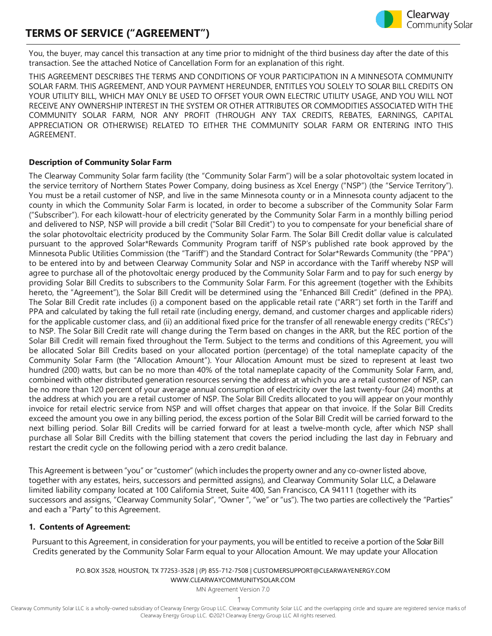## **TERMS OF SERVICE ("AGREEMENT")**

You, the buyer, may cancel this transaction at any time prior to midnight of the third business day after the date of this transaction. See the attached Notice of Cancellation Form for an explanation of this right.

THIS AGREEMENT DESCRIBES THE TERMS AND CONDITIONS OF YOUR PARTICIPATION IN A MINNESOTA COMMUNITY SOLAR FARM. THIS AGREEMENT, AND YOUR PAYMENT HEREUNDER, ENTITLES YOU SOLELY TO SOLAR BILL CREDITS ON YOUR UTILITY BILL, WHICH MAY ONLY BE USED TO OFFSET YOUR OWN ELECTRIC UTILITY USAGE, AND YOU WILL NOT RECEIVE ANY OWNERSHIP INTEREST IN THE SYSTEM OR OTHER ATTRIBUTES OR COMMODITIES ASSOCIATED WITH THE COMMUNITY SOLAR FARM, NOR ANY PROFIT (THROUGH ANY TAX CREDITS, REBATES, EARNINGS, CAPITAL APPRECIATION OR OTHERWISE) RELATED TO EITHER THE COMMUNITY SOLAR FARM OR ENTERING INTO THIS AGREEMENT.

#### **Description of Community Solar Farm**

The Clearway Community Solar farm facility (the "Community Solar Farm") will be a solar photovoltaic system located in the service territory of Northern States Power Company, doing business as Xcel Energy ("NSP") (the "Service Territory"). You must be a retail customer of NSP, and live in the same Minnesota county or in a Minnesota county adjacent to the county in which the Community Solar Farm is located, in order to become a subscriber of the Community Solar Farm ("Subscriber"). For each kilowatt-hour of electricity generated by the Community Solar Farm in a monthly billing period and delivered to NSP, NSP will provide a bill credit ("Solar Bill Credit") to you to compensate for your beneficial share of the solar photovoltaic electricity produced by the Community Solar Farm. The Solar Bill Credit dollar value is calculated pursuant to the approved Solar\*Rewards Community Program tariff of NSP's published rate book approved by the Minnesota Public Utilities Commission (the "Tariff") and the Standard Contract for Solar\*Rewards Community (the "PPA") to be entered into by and between Clearway Community Solar and NSP in accordance with the Tariff whereby NSP will agree to purchase all of the photovoltaic energy produced by the Community Solar Farm and to pay for such energy by providing Solar Bill Credits to subscribers to the Community Solar Farm. For this agreement (together with the Exhibits hereto, the "Agreement"), the Solar Bill Credit will be determined using the "Enhanced Bill Credit" (defined in the PPA). The Solar Bill Credit rate includes (i) a component based on the applicable retail rate ("ARR") set forth in the Tariff and PPA and calculated by taking the full retail rate (including energy, demand, and customer charges and applicable riders) for the applicable customer class, and (ii) an additional fixed price for the transfer of all renewable energy credits ("RECs") to NSP. The Solar Bill Credit rate will change during the Term based on changes in the ARR, but the REC portion of the Solar Bill Credit will remain fixed throughout the Term. Subject to the terms and conditions of this Agreement, you will be allocated Solar Bill Credits based on your allocated portion (percentage) of the total nameplate capacity of the Community Solar Farm (the "Allocation Amount"). Your Allocation Amount must be sized to represent at least two hundred (200) watts, but can be no more than 40% of the total nameplate capacity of the Community Solar Farm, and, combined with other distributed generation resources serving the address at which you are a retail customer of NSP, can be no more than 120 percent of your average annual consumption of electricity over the last twenty-four (24) months at the address at which you are a retail customer of NSP. The Solar Bill Credits allocated to you will appear on your monthly invoice for retail electric service from NSP and will offset charges that appear on that invoice. If the Solar Bill Credits exceed the amount you owe in any billing period, the excess portion of the Solar Bill Credit will be carried forward to the next billing period. Solar Bill Credits will be carried forward for at least a twelve-month cycle, after which NSP shall purchase all Solar Bill Credits with the billing statement that covers the period including the last day in February and restart the credit cycle on the following period with a zero credit balance.

This Agreement is between "you" or"customer" (which includes the property owner and any co-owner listed above, together with any estates, heirs, successors and permitted assigns), and Clearway Community Solar LLC, a Delaware limited liability company located at 100 California Street, Suite 400, San Francisco, CA 94111 (together with its successors and assigns, "Clearway Community Solar", "Owner ", "we" or "us"). The two parties are collectively the "Parties" and each a "Party" to this Agreement.

#### **1. Contents of Agreement:**

Pursuant to this Agreement, in consideration for your payments, you will be entitled to receive a portion of the Solar Bill Credits generated by the Community Solar Farm equal to your Allocation Amount. We may update your Allocation

P.O. BOX 3528, HOUSTON, TX 77253-3528 | (P) 855-712-7508 [| CUSTOMERSUPPORT@CLEARWAYENERGY.COM](mailto:CUSTOMERSUPPORT@CLEARWAYENERGY.COM) [WWW.CLEARWAYCOMMUNITYSOLAR.COM](http://www.clearwaycommunitysolar.com/)

MN Agreement Version 7.0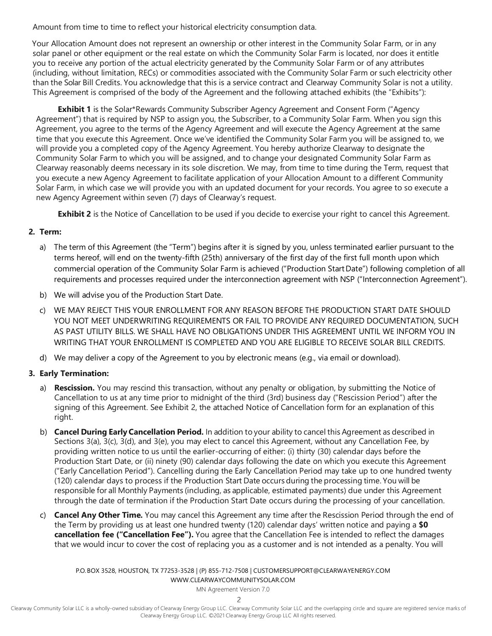Amount from time to time to reflect your historical electricity consumption data.

Your Allocation Amount does not represent an ownership or other interest in the Community Solar Farm, or in any solar panel or other equipment or the real estate on which the Community Solar Farm is located, nor does it entitle you to receive any portion of the actual electricity generated by the Community Solar Farm or of any attributes (including, without limitation, RECs) or commodities associated with the Community Solar Farm or such electricity other than the Solar Bill Credits. You acknowledge that this is a service contract and Clearway Community Solar is not a utility. This Agreement is comprised of the body of the Agreement and the following attached exhibits (the "Exhibits"):

**Exhibit 1** is the Solar\*Rewards Community Subscriber Agency Agreement and Consent Form ("Agency Agreement") that is required by NSP to assign you, the Subscriber, to a Community Solar Farm. When you sign this Agreement, you agree to the terms of the Agency Agreement and will execute the Agency Agreement at the same time that you execute this Agreement. Once we've identified the Community Solar Farm you will be assigned to, we will provide you a completed copy of the Agency Agreement. You hereby authorize Clearway to designate the Community Solar Farm to which you will be assigned, and to change your designated Community Solar Farm as Clearway reasonably deems necessary in its sole discretion. We may, from time to time during the Term, request that you execute a new Agency Agreement to facilitate application of your Allocation Amount to a different Community Solar Farm, in which case we will provide you with an updated document for your records. You agree to so execute a new Agency Agreement within seven (7) days of Clearway's request.

**Exhibit 2** is the Notice of Cancellation to be used if you decide to exercise your right to cancel this Agreement.

## **2. Term:**

- a) The term of this Agreement (the "Term") begins after it is signed by you, unless terminated earlier pursuant to the terms hereof, will end on the twenty-fifth (25th) anniversary of the first day of the first full month upon which commercial operation of the Community Solar Farm is achieved ("Production StartDate") following completion of all requirements and processes required under the interconnection agreement with NSP ("Interconnection Agreement").
- b) We will advise you of the Production Start Date.
- c) WE MAY REJECT THIS YOUR ENROLLMENT FOR ANY REASON BEFORE THE PRODUCTION START DATE SHOULD YOU NOT MEET UNDERWRITING REQUIREMENTS OR FAIL TO PROVIDE ANY REQUIRED DOCUMENTATION, SUCH AS PAST UTILITY BILLS. WE SHALL HAVE NO OBLIGATIONS UNDER THIS AGREEMENT UNTIL WE INFORM YOU IN WRITING THAT YOUR ENROLLMENT IS COMPLETED AND YOU ARE ELIGIBLE TO RECEIVE SOLAR BILL CREDITS.
- d) We may deliver a copy of the Agreement to you by electronic means (e.g., via email or download).

## **3. Early Termination:**

- a) **Rescission.** You may rescind this transaction, without any penalty or obligation, by submitting the Notice of Cancellation to us at any time prior to midnight of the third (3rd) business day ("Rescission Period") after the signing of this Agreement. See Exhibit 2, the attached Notice of Cancellation form for an explanation of this right.
- b) **Cancel During Early Cancellation Period.** In addition to your ability to cancel this Agreement as described in Sections 3(a), 3(c), 3(d), and 3(e), you may elect to cancel this Agreement, without any Cancellation Fee, by providing written notice to us until the earlier-occurring of either: (i) thirty (30) calendar days before the Production Start Date, or (ii) ninety (90) calendar days following the date on which you execute this Agreement ("Early Cancellation Period"). Cancelling during the Early Cancellation Period may take up to one hundred twenty (120) calendar days to process if the Production Start Date occurs during the processing time. You will be responsible for all Monthly Payments (including, as applicable, estimated payments) due under this Agreement through the date of termination if the Production Start Date occurs during the processing of your cancellation.
- c) **Cancel Any Other Time.** You may cancel this Agreement any time after the Rescission Period through the end of the Term by providing us at least one hundred twenty (120) calendar days' written notice and paying a **\$0 cancellation fee ("Cancellation Fee").** You agree that the Cancellation Fee is intended to reflect the damages that we would incur to cover the cost of replacing you as a customer and is not intended as a penalty. You will

P.O. BOX 3528, HOUSTON, TX 77253-3528 | (P) 855-712-7508 [| CUSTOMERSUPPORT@CLEARWAYENERGY.COM](mailto:CUSTOMERSUPPORT@CLEARWAYENERGY.COM) [WWW.CLEARWAYCOMMUNITYSOLAR.COM](http://www.clearwaycommunitysolar.com/)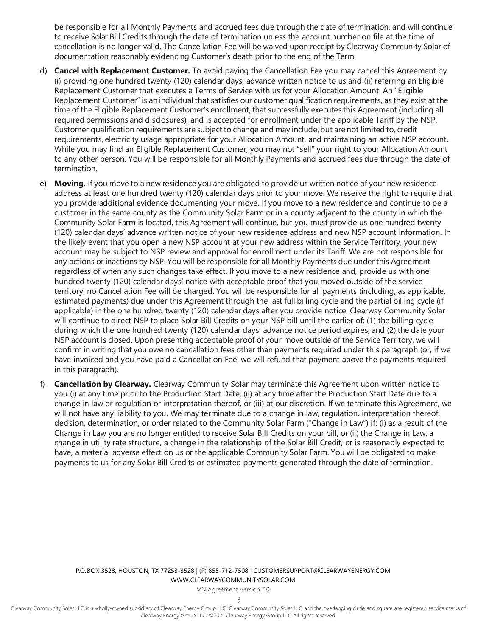be responsible for all Monthly Payments and accrued fees due through the date of termination, and will continue to receive Solar Bill Credits through the date of termination unless the account number on file at the time of cancellation is no longer valid. The Cancellation Fee will be waived upon receipt by Clearway Community Solar of documentation reasonably evidencing Customer's death prior to the end of the Term.

- d) **Cancel with Replacement Customer.** To avoid paying the Cancellation Fee you may cancel this Agreement by (i) providing one hundred twenty (120) calendar days' advance written notice to us and (ii) referring an Eligible Replacement Customer that executes a Terms of Service with us for your Allocation Amount. An "Eligible Replacement Customer" is an individual that satisfies our customer qualification requirements, as they exist at the time of the Eligible Replacement Customer's enrollment, that successfully executes this Agreement (including all required permissions and disclosures), and is accepted for enrollment under the applicable Tariff by the NSP. Customer qualification requirements are subject to change and may include,but are not limited to, credit requirements, electricity usage appropriate for your Allocation Amount, and maintaining an active NSP account. While you may find an Eligible Replacement Customer, you may not "sell" your right to your Allocation Amount to any other person. You will be responsible for all Monthly Payments and accrued fees due through the date of termination.
- e) **Moving.** If you move to a new residence you are obligated to provide us written notice of your new residence address at least one hundred twenty (120) calendar days prior to your move. We reserve the right to require that you provide additional evidence documenting your move. If you move to a new residence and continue to be a customer in the same county as the Community Solar Farm or in a county adjacent to the county in which the Community Solar Farm is located, this Agreement will continue, but you must provide us one hundred twenty (120) calendar days' advance written notice of your new residence address and new NSP account information. In the likely event that you open a new NSP account at your new address within the Service Territory, your new account may be subject to NSP review and approval for enrollment under its Tariff. We are not responsible for any actions or inactions by NSP. You will be responsible for all Monthly Payments due under this Agreement regardless of when any such changes take effect. If you move to a new residence and, provide us with one hundred twenty (120) calendar days' notice with acceptable proof that you moved outside of the service territory, no Cancellation Fee will be charged. You will be responsible for all payments (including, as applicable, estimated payments) due under this Agreement through the last full billing cycle and the partial billing cycle (if applicable) in the one hundred twenty (120) calendar days after you provide notice. Clearway Community Solar will continue to direct NSP to place Solar Bill Credits on your NSP bill until the earlier of: (1) the billing cycle during which the one hundred twenty (120) calendar days' advance notice period expires, and (2) the date your NSP account is closed. Upon presenting acceptable proof of your move outside of the Service Territory, we will confirm in writing that you owe no cancellation fees other than payments required under this paragraph (or, if we have invoiced and you have paid a Cancellation Fee, we will refund that payment above the payments required in this paragraph).
- f) **Cancellation by Clearway.** Clearway Community Solar may terminate this Agreement upon written notice to you (i) at any time prior to the Production Start Date, (ii) at any time after the Production Start Date due to a change in law or regulation or interpretation thereof, or (iii) at our discretion. If we terminate this Agreement, we will not have any liability to you. We may terminate due to a change in law, regulation, interpretation thereof, decision, determination, or order related to the Community Solar Farm ("Change in Law") if: (i) as a result of the Change in Law you are no longer entitled to receive Solar Bill Credits on your bill, or (ii) the Change in Law, a change in utility rate structure, a change in the relationship of the Solar Bill Credit, or is reasonably expected to have, a material adverse effect on us or the applicable Community Solar Farm. You will be obligated to make payments to us for any Solar Bill Credits or estimated payments generated through the date of termination.

P.O. BOX 3528, HOUSTON, TX 77253-3528 | (P) 855-712-7508 [| CUSTOMERSUPPORT@CLEARWAYENERGY.COM](mailto:CUSTOMERSUPPORT@CLEARWAYENERGY.COM) [WWW.CLEARWAYCOMMUNITYSOLAR.COM](http://www.clearwaycommunitysolar.com/)

MN Agreement Version 7.0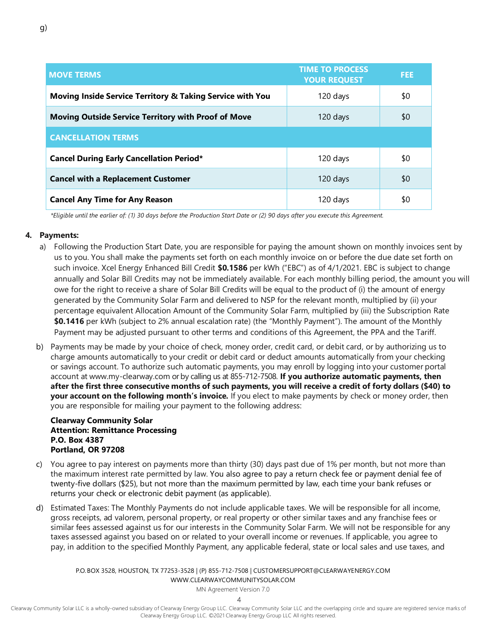| <b>MOVE TERMS</b>                                                    | <b>TIME TO PROCESS</b><br><b>YOUR REQUEST</b> | <b>FEE</b> |
|----------------------------------------------------------------------|-----------------------------------------------|------------|
| <b>Moving Inside Service Territory &amp; Taking Service with You</b> | 120 days                                      | \$0        |
| <b>Moving Outside Service Territory with Proof of Move</b>           | 120 days                                      | \$0        |
| <b>CANCELLATION TERMS</b>                                            |                                               |            |
| <b>Cancel During Early Cancellation Period*</b>                      | 120 days                                      | \$0        |
| <b>Cancel with a Replacement Customer</b>                            | 120 days                                      | \$0        |
| <b>Cancel Any Time for Any Reason</b>                                | 120 days                                      | \$0        |

*\*Eligible until the earlier of: (1) 30 days before the Production Start Date or (2) 90 days after you execute this Agreement.*

#### **4. Payments:**

- a) Following the Production Start Date, you are responsible for paying the amount shown on monthly invoices sent by us to you. You shall make the payments set forth on each monthly invoice on or before the due date set forth on such invoice. Xcel Energy Enhanced Bill Credit **\$0.1586** per kWh ("EBC") as of 4/1/2021. EBC is subject to change annually and Solar Bill Credits may not be immediately available. For each monthly billing period, the amount you will owe for the right to receive a share of Solar Bill Credits will be equal to the product of (i) the amount of energy generated by the Community Solar Farm and delivered to NSP for the relevant month, multiplied by (ii) your percentage equivalent Allocation Amount of the Community Solar Farm, multiplied by (iii) the Subscription Rate **\$0.1416** per kWh (subject to 2% annual escalation rate) (the "Monthly Payment"). The amount of the Monthly Payment may be adjusted pursuant to other terms and conditions of this Agreement, the PPA and the Tariff.
- b) Payments may be made by your choice of check, money order, credit card, or debit card, or by authorizing us to charge amounts automatically to your credit or debit card or deduct amounts automatically from your checking or savings account. To authorize such automatic payments, you may enroll by logging into your customer portal account at [www.my-clearway.com](http://www.my-clearway.com/) or by calling us at 855-712-7508. **If you authorize automatic payments, then after the first three consecutive months of such payments, you will receive a credit of forty dollars (\$40) to your account on the following month's invoice.** If you elect to make payments by check or money order, then you are responsible for mailing your payment to the following address:

#### **Clearway Community Solar Attention: Remittance Processing P.O. Box 4387 Portland, OR 97208**

- c) You agree to pay interest on payments more than thirty (30) days past due of 1% per month, but not more than the maximum interest rate permitted by law. You also agree to pay a return check fee or payment denial fee of twenty-five dollars (\$25), but not more than the maximum permitted by law, each time your bank refuses or returns your check or electronic debit payment (as applicable).
- d) Estimated Taxes: The Monthly Payments do not include applicable taxes. We will be responsible for all income, gross receipts, ad valorem, personal property, or real property or other similar taxes and any franchise fees or similar fees assessed against us for our interests in the Community Solar Farm. We will not be responsible for any taxes assessed against you based on or related to your overall income or revenues. If applicable, you agree to pay, in addition to the specified Monthly Payment, any applicable federal, state or local sales and use taxes, and

P.O. BOX 3528, HOUSTON, TX 77253-3528 | (P) 855-712-7508 [| CUSTOMERSUPPORT@CLEARWAYENERGY.COM](mailto:CUSTOMERSUPPORT@CLEARWAYENERGY.COM) [WWW.CLEARWAYCOMMUNITYSOLAR.COM](http://www.clearwaycommunitysolar.com/)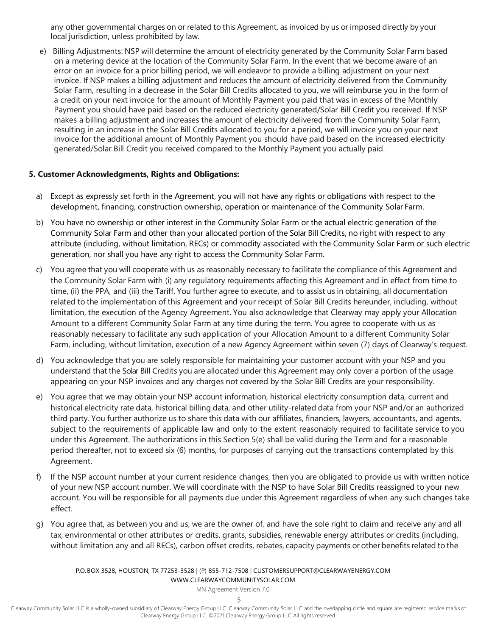any other governmental charges on or related to this Agreement, as invoiced by us or imposed directly by your local jurisdiction, unless prohibited by law.

e) Billing Adjustments: NSP will determine the amount of electricity generated by the Community Solar Farm based on a metering device at the location of the Community Solar Farm. In the event that we become aware of an error on an invoice for a prior billing period, we will endeavor to provide a billing adjustment on your next invoice. If NSP makes a billing adjustment and reduces the amount of electricity delivered from the Community Solar Farm, resulting in a decrease in the Solar Bill Credits allocated to you, we will reimburse you in the form of a credit on your next invoice for the amount of Monthly Payment you paid that was in excess of the Monthly Payment you should have paid based on the reduced electricity generated/Solar Bill Credit you received. If NSP makes a billing adjustment and increases the amount of electricity delivered from the Community Solar Farm, resulting in an increase in the Solar Bill Credits allocated to you for a period, we will invoice you on your next invoice for the additional amount of Monthly Payment you should have paid based on the increased electricity generated/Solar Bill Credit you received compared to the Monthly Payment you actually paid.

## **5. Customer Acknowledgments, Rights and Obligations:**

- a) Except as expressly set forth in the Agreement, you will not have any rights or obligations with respect to the development, financing, construction ownership, operation or maintenance of the Community Solar Farm.
- b) You have no ownership or other interest in the Community Solar Farm or the actual electric generation of the Community Solar Farm and other than your allocated portion of the Solar Bill Credits, no right with respect to any attribute (including, without limitation, RECs) or commodity associated with the Community Solar Farm or such electric generation, nor shall you have any right to access the Community Solar Farm.
- c) You agree that you will cooperate with us as reasonably necessary to facilitate the compliance of this Agreement and the Community Solar Farm with (i) any regulatory requirements affecting this Agreement and in effect from time to time, (ii) the PPA, and (iii) the Tariff. You further agree to execute, and to assist us in obtaining, all documentation related to the implementation of this Agreement and your receipt of Solar Bill Credits hereunder, including, without limitation, the execution of the Agency Agreement. You also acknowledge that Clearway may apply your Allocation Amount to a different Community Solar Farm at any time during the term. You agree to cooperate with us as reasonably necessary to facilitate any such application of your Allocation Amount to a different Community Solar Farm, including, without limitation, execution of a new Agency Agreement within seven (7) days of Clearway's request.
- d) You acknowledge that you are solely responsible for maintaining your customer account with your NSP and you understand that the Solar Bill Credits you are allocated under this Agreement may only cover a portion of the usage appearing on your NSP invoices and any charges not covered by the Solar Bill Credits are your responsibility.
- e) You agree that we may obtain your NSP account information, historical electricity consumption data, current and historical electricity rate data, historical billing data, and other utility-related data from your NSP and/or an authorized third party. You further authorize us to share this data with our affiliates, financiers, lawyers, accountants, and agents, subject to the requirements of applicable law and only to the extent reasonably required to facilitate service to you under this Agreement. The authorizations in this Section 5(e) shall be valid during the Term and for a reasonable period thereafter, not to exceed six (6) months, for purposes of carrying out the transactions contemplated by this Agreement.
- f) If the NSP account number at your current residence changes, then you are obligated to provide us with written notice of your new NSP account number. We will coordinate with the NSP to have Solar Bill Credits reassigned to your new account. You will be responsible for all payments due under this Agreement regardless of when any such changes take effect.
- g) You agree that, as between you and us, we are the owner of, and have the sole right to claim and receive any and all tax, environmental or other attributes or credits, grants, subsidies, renewable energy attributes or credits (including, without limitation any and all RECs), carbon offset credits, rebates, capacity payments or other benefits related to the

#### P.O. BOX 3528, HOUSTON, TX 77253-3528 | (P) 855-712-7508 [| CUSTOMERSUPPORT@CLEARWAYENERGY.COM](mailto:CUSTOMERSUPPORT@CLEARWAYENERGY.COM) [WWW.CLEARWAYCOMMUNITYSOLAR.COM](http://www.clearwaycommunitysolar.com/)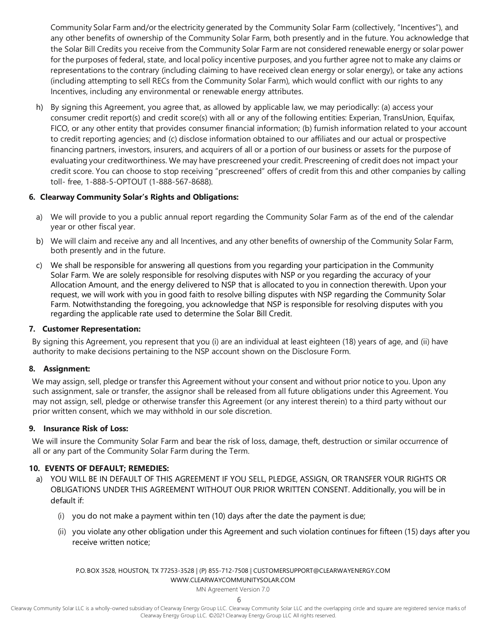Community Solar Farm and/or the electricity generated by the Community Solar Farm (collectively, "Incentives"), and any other benefits of ownership of the Community Solar Farm, both presently and in the future. You acknowledge that the Solar Bill Credits you receive from the Community Solar Farm are not considered renewable energy or solar power for the purposes of federal, state, and local policy incentive purposes, and you further agree not to make any claims or representations to the contrary (including claiming to have received clean energy or solar energy), or take any actions (including attempting to sell RECs from the Community Solar Farm), which would conflict with our rights to any Incentives, including any environmental or renewable energy attributes.

h) By signing this Agreement, you agree that, as allowed by applicable law, we may periodically: (a) access your consumer credit report(s) and credit score(s) with all or any of the following entities: Experian, TransUnion, Equifax, FICO, or any other entity that provides consumer financial information; (b) furnish information related to your account to credit reporting agencies; and (c) disclose information obtained to our affiliates and our actual or prospective financing partners, investors, insurers, and acquirers of all or a portion of our business or assets for the purpose of evaluating your creditworthiness. We may have prescreened your credit. Prescreening of credit does not impact your credit score. You can choose to stop receiving "prescreened" offers of credit from this and other companies by calling toll- free, 1-888-5-OPTOUT (1-888-567-8688).

## **6. Clearway Community Solar's Rights and Obligations:**

- a) We will provide to you a public annual report regarding the Community Solar Farm as of the end of the calendar year or other fiscal year.
- b) We will claim and receive any and all Incentives, and any other benefits of ownership of the Community Solar Farm, both presently and in the future.
- c) We shall be responsible for answering all questions from you regarding your participation in the Community Solar Farm. We are solely responsible for resolving disputes with NSP or you regarding the accuracy of your Allocation Amount, and the energy delivered to NSP that is allocated to you in connection therewith. Upon your request, we will work with you in good faith to resolve billing disputes with NSP regarding the Community Solar Farm. Notwithstanding the foregoing, you acknowledge that NSP is responsible for resolving disputes with you regarding the applicable rate used to determine the Solar Bill Credit.

## **7. Customer Representation:**

By signing this Agreement, you represent that you (i) are an individual at least eighteen (18) years of age, and (ii) have authority to make decisions pertaining to the NSP account shown on the Disclosure Form.

## **8. Assignment:**

We may assign, sell, pledge or transfer this Agreement without your consent and without prior notice to you. Upon any such assignment, sale or transfer, the assignor shall be released from all future obligations under this Agreement. You may not assign, sell, pledge or otherwise transfer this Agreement (or any interest therein) to a third party without our prior written consent, which we may withhold in our sole discretion.

## **9. Insurance Risk of Loss:**

We will insure the Community Solar Farm and bear the risk of loss, damage, theft, destruction or similar occurrence of all or any part of the Community Solar Farm during the Term.

## **10. EVENTS OF DEFAULT; REMEDIES:**

- a) YOU WILL BE IN DEFAULT OF THIS AGREEMENT IF YOU SELL, PLEDGE, ASSIGN, OR TRANSFER YOUR RIGHTS OR OBLIGATIONS UNDER THIS AGREEMENT WITHOUT OUR PRIOR WRITTEN CONSENT. Additionally, you will be in default if:
	- (i) you do not make a payment within ten (10) days after the date the payment is due;
	- (ii) you violate any other obligation under this Agreement and such violation continues for fifteen (15) days after you receive written notice;

P.O. BOX 3528, HOUSTON, TX 77253-3528 | (P) 855-712-7508 [| CUSTOMERSUPPORT@CLEARWAYENERGY.COM](mailto:CUSTOMERSUPPORT@CLEARWAYENERGY.COM) [WWW.CLEARWAYCOMMUNITYSOLAR.COM](http://www.clearwaycommunitysolar.com/)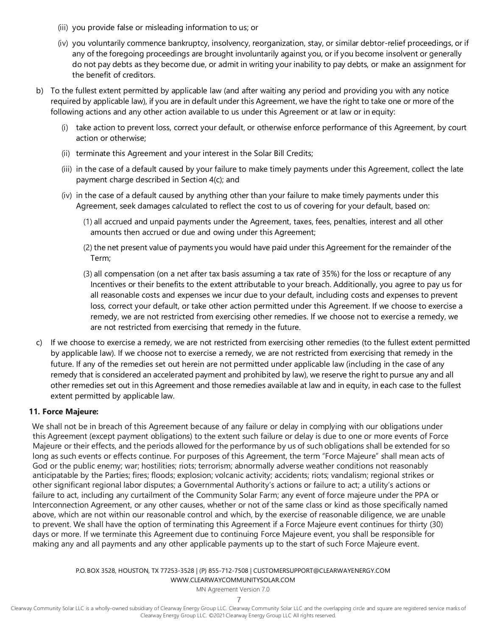- (iii) you provide false or misleading information to us; or
- (iv) you voluntarily commence bankruptcy, insolvency, reorganization, stay, or similar debtor-relief proceedings, or if any of the foregoing proceedings are brought involuntarily against you, or if you become insolvent or generally do not pay debts as they become due, or admit in writing your inability to pay debts, or make an assignment for the benefit of creditors.
- b) To the fullest extent permitted by applicable law (and after waiting any period and providing you with any notice required by applicable law), if you are in default under this Agreement, we have the right to take one or more of the following actions and any other action available to us under this Agreement or at law or in equity:
	- (i) take action to prevent loss, correct your default, or otherwise enforce performance of this Agreement, by court action or otherwise;
	- (ii) terminate this Agreement and your interest in the Solar Bill Credits;
	- (iii) in the case of a default caused by your failure to make timely payments under this Agreement, collect the late payment charge described in Section 4(c); and
	- (iv) in the case of a default caused by anything other than your failure to make timely payments under this Agreement, seek damages calculated to reflect the cost to us of covering for your default, based on:
		- (1) all accrued and unpaid payments under the Agreement, taxes, fees, penalties, interest and all other amounts then accrued or due and owing under this Agreement;
		- (2) the net present value of payments you would have paid under this Agreement for the remainder of the Term;
		- (3) all compensation (on a net after tax basis assuming a tax rate of 35%) for the loss or recapture of any Incentives or their benefits to the extent attributable to your breach. Additionally, you agree to pay us for all reasonable costs and expenses we incur due to your default, including costs and expenses to prevent loss, correct your default, or take other action permitted under this Agreement. If we choose to exercise a remedy, we are not restricted from exercising other remedies. If we choose not to exercise a remedy, we are not restricted from exercising that remedy in the future.
- c) If we choose to exercise a remedy, we are not restricted from exercising other remedies (to the fullest extent permitted by applicable law). If we choose not to exercise a remedy, we are not restricted from exercising that remedy in the future. If any of the remedies set out herein are not permitted under applicable law (including in the case of any remedy that is considered an accelerated payment and prohibited by law), we reserve the right to pursue any and all other remedies set out in this Agreement and those remedies available at law and in equity, in each case to the fullest extent permitted by applicable law.

## **11. Force Majeure:**

We shall not be in breach of this Agreement because of any failure or delay in complying with our obligations under this Agreement (except payment obligations) to the extent such failure or delay is due to one or more events of Force Majeure or their effects, and the periods allowed for the performance by us of such obligations shall be extended for so long as such events or effects continue. For purposes of this Agreement, the term "Force Majeure" shall mean acts of God or the public enemy; war; hostilities; riots; terrorism; abnormally adverse weather conditions not reasonably anticipatable by the Parties; fires; floods; explosion; volcanic activity; accidents; riots; vandalism; regional strikes or other significant regional labor disputes; a Governmental Authority's actions or failure to act; a utility's actions or failure to act, including any curtailment of the Community Solar Farm; any event of force majeure under the PPA or Interconnection Agreement, or any other causes, whether or not of the same class or kind as those specifically named above, which are not within our reasonable control and which, by the exercise of reasonable diligence, we are unable to prevent. We shall have the option of terminating this Agreement if a Force Majeure event continues for thirty (30) days or more. If we terminate this Agreement due to continuing Force Majeure event, you shall be responsible for making any and all payments and any other applicable payments up to the start of such Force Majeure event.

> P.O. BOX 3528, HOUSTON, TX 77253-3528 | (P) 855-712-7508 [| CUSTOMERSUPPORT@CLEARWAYENERGY.COM](mailto:CUSTOMERSUPPORT@CLEARWAYENERGY.COM) [WWW.CLEARWAYCOMMUNITYSOLAR.COM](http://www.clearwaycommunitysolar.com/)

> > MN Agreement Version 7.0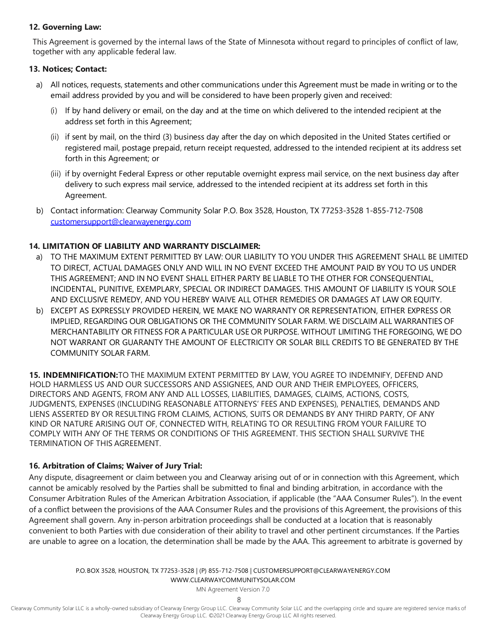## **12. Governing Law:**

This Agreement is governed by the internal laws of the State of Minnesota without regard to principles of conflict of law, together with any applicable federal law.

## **13. Notices; Contact:**

- a) All notices, requests, statements and other communications under this Agreement must be made in writing or to the email address provided by you and will be considered to have been properly given and received:
	- (i) If by hand delivery or email, on the day and at the time on which delivered to the intended recipient at the address set forth in this Agreement;
	- (ii) if sent by mail, on the third (3) business day after the day on which deposited in the United States certified or registered mail, postage prepaid, return receipt requested, addressed to the intended recipient at its address set forth in this Agreement; or
	- (iii) if by overnight Federal Express or other reputable overnight express mail service, on the next business day after delivery to such express mail service, addressed to the intended recipient at its address set forth in this Agreement.
- b) Contact information: Clearway Community Solar P.O. Box 3528, Houston, TX 77253-3528 1-855-712-7508 [customersupport@clearwayenergy.com](mailto:customersupport@clearwayenergy.com)

## **14. LIMITATION OF LIABILITY AND WARRANTY DISCLAIMER:**

- a) TO THE MAXIMUM EXTENT PERMITTED BY LAW: OUR LIABILITY TO YOU UNDER THIS AGREEMENT SHALL BE LIMITED TO DIRECT, ACTUAL DAMAGES ONLY AND WILL IN NO EVENT EXCEED THE AMOUNT PAID BY YOU TO US UNDER THIS AGREEMENT; AND IN NO EVENT SHALL EITHER PARTY BE LIABLE TO THE OTHER FOR CONSEQUENTIAL, INCIDENTAL, PUNITIVE, EXEMPLARY, SPECIAL OR INDIRECT DAMAGES. THIS AMOUNT OF LIABILITY IS YOUR SOLE AND EXCLUSIVE REMEDY, AND YOU HEREBY WAIVE ALL OTHER REMEDIES OR DAMAGES AT LAW OR EQUITY.
- b) EXCEPT AS EXPRESSLY PROVIDED HEREIN, WE MAKE NO WARRANTY OR REPRESENTATION, EITHER EXPRESS OR IMPLIED, REGARDING OUR OBLIGATIONS OR THE COMMUNITY SOLAR FARM. WE DISCLAIM ALL WARRANTIES OF MERCHANTABILITY OR FITNESS FOR A PARTICULAR USE OR PURPOSE. WITHOUT LIMITING THE FOREGOING, WE DO NOT WARRANT OR GUARANTY THE AMOUNT OF ELECTRICITY OR SOLAR BILL CREDITS TO BE GENERATED BY THE COMMUNITY SOLAR FARM.

**15. INDEMNIFICATION:**TO THE MAXIMUM EXTENT PERMITTED BY LAW, YOU AGREE TO INDEMNIFY, DEFEND AND HOLD HARMLESS US AND OUR SUCCESSORS AND ASSIGNEES, AND OUR AND THEIR EMPLOYEES, OFFICERS, DIRECTORS AND AGENTS, FROM ANY AND ALL LOSSES, LIABILITIES, DAMAGES, CLAIMS, ACTIONS, COSTS, JUDGMENTS, EXPENSES (INCLUDING REASONABLE ATTORNEYS' FEES AND EXPENSES), PENALTIES, DEMANDS AND LIENS ASSERTED BY OR RESULTING FROM CLAIMS, ACTIONS, SUITS OR DEMANDS BY ANY THIRD PARTY, OF ANY KIND OR NATURE ARISING OUT OF, CONNECTED WITH, RELATING TO OR RESULTING FROM YOUR FAILURE TO COMPLY WITH ANY OF THE TERMS OR CONDITIONS OF THIS AGREEMENT. THIS SECTION SHALL SURVIVE THE TERMINATION OF THIS AGREEMENT.

## **16. Arbitration of Claims; Waiver of Jury Trial:**

Any dispute, disagreement or claim between you and Clearway arising out of or in connection with this Agreement, which cannot be amicably resolved by the Parties shall be submitted to final and binding arbitration, in accordance with the Consumer Arbitration Rules of the American Arbitration Association, if applicable (the "AAA Consumer Rules"). In the event of a conflict between the provisions of the AAA Consumer Rules and the provisions of this Agreement, the provisions of this Agreement shall govern. Any in-person arbitration proceedings shall be conducted at a location that is reasonably convenient to both Parties with due consideration of their ability to travel and other pertinent circumstances. If the Parties are unable to agree on a location, the determination shall be made by the AAA. This agreement to arbitrate is governed by

> P.O. BOX 3528, HOUSTON, TX 77253-3528 | (P) 855-712-7508 [| CUSTOMERSUPPORT@CLEARWAYENERGY.COM](mailto:CUSTOMERSUPPORT@CLEARWAYENERGY.COM) [WWW.CLEARWAYCOMMUNITYSOLAR.COM](http://www.clearwaycommunitysolar.com/)

> > MN Agreement Version 7.0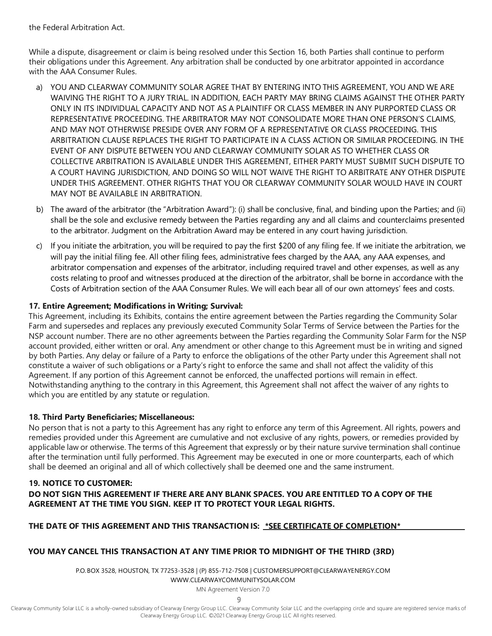the Federal Arbitration Act.

While a dispute, disagreement or claim is being resolved under this Section 16, both Parties shall continue to perform their obligations under this Agreement. Any arbitration shall be conducted by one arbitrator appointed in accordance with the AAA Consumer Rules.

- a) YOU AND CLEARWAY COMMUNITY SOLAR AGREE THAT BY ENTERING INTO THIS AGREEMENT, YOU AND WE ARE WAIVING THE RIGHT TO A JURY TRIAL. IN ADDITION, EACH PARTY MAY BRING CLAIMS AGAINST THE OTHER PARTY ONLY IN ITS INDIVIDUAL CAPACITY AND NOT AS A PLAINTIFF OR CLASS MEMBER IN ANY PURPORTED CLASS OR REPRESENTATIVE PROCEEDING. THE ARBITRATOR MAY NOT CONSOLIDATE MORE THAN ONE PERSON'S CLAIMS, AND MAY NOT OTHERWISE PRESIDE OVER ANY FORM OF A REPRESENTATIVE OR CLASS PROCEEDING. THIS ARBITRATION CLAUSE REPLACES THE RIGHT TO PARTICIPATE IN A CLASS ACTION OR SIMILAR PROCEEDING. IN THE EVENT OF ANY DISPUTE BETWEEN YOU AND CLEARWAY COMMUNITY SOLAR AS TO WHETHER CLASS OR COLLECTIVE ARBITRATION IS AVAILABLE UNDER THIS AGREEMENT, EITHER PARTY MUST SUBMIT SUCH DISPUTE TO A COURT HAVING JURISDICTION, AND DOING SO WILL NOT WAIVE THE RIGHT TO ARBITRATE ANY OTHER DISPUTE UNDER THIS AGREEMENT. OTHER RIGHTS THAT YOU OR CLEARWAY COMMUNITY SOLAR WOULD HAVE IN COURT MAY NOT BE AVAILABLE IN ARBITRATION.
- b) The award of the arbitrator (the "Arbitration Award"): (i) shall be conclusive, final, and binding upon the Parties; and (ii) shall be the sole and exclusive remedy between the Parties regarding any and all claims and counterclaims presented to the arbitrator. Judgment on the Arbitration Award may be entered in any court having jurisdiction.
- c) If you initiate the arbitration, you will be required to pay the first \$200 of any filing fee. If we initiate the arbitration, we will pay the initial filing fee. All other filing fees, administrative fees charged by the AAA, any AAA expenses, and arbitrator compensation and expenses of the arbitrator, including required travel and other expenses, as well as any costs relating to proof and witnesses produced at the direction of the arbitrator, shall be borne in accordance with the Costs of Arbitration section of the AAA Consumer Rules. We will each bear all of our own attorneys' fees and costs.

#### **17. Entire Agreement; Modifications in Writing; Survival:**

This Agreement, including its Exhibits, contains the entire agreement between the Parties regarding the Community Solar Farm and supersedes and replaces any previously executed Community Solar Terms of Service between the Parties for the NSP account number. There are no other agreements between the Parties regarding the Community Solar Farm for the NSP account provided, either written or oral. Any amendment or other change to this Agreement must be in writing and signed by both Parties. Any delay or failure of a Party to enforce the obligations of the other Party under this Agreement shall not constitute a waiver of such obligations or a Party's right to enforce the same and shall not affect the validity of this Agreement. If any portion of this Agreement cannot be enforced, the unaffected portions will remain in effect. Notwithstanding anything to the contrary in this Agreement, this Agreement shall not affect the waiver of any rights to which you are entitled by any statute or regulation.

#### **18. Third Party Beneficiaries; Miscellaneous:**

No person that is not a party to this Agreement has any right to enforce any term of this Agreement. All rights, powers and remedies provided under this Agreement are cumulative and not exclusive of any rights, powers, or remedies provided by applicable law or otherwise. The terms of this Agreement that expressly or by their nature survive termination shall continue after the termination until fully performed. This Agreement may be executed in one or more counterparts, each of which shall be deemed an original and all of which collectively shall be deemed one and the same instrument.

#### **19. NOTICE TO CUSTOMER:** DO NOT SIGN THIS AGREEMENT IF THERE ARE ANY BLANK SPACES. YOU ARE ENTITLED TO A COPY OF THE **AGREEMENT AT THE TIME YOU SIGN. KEEP IT TO PROTECT YOUR LEGAL RIGHTS.**

#### **THE DATE OF THIS AGREEMENT AND THIS TRANSACTION IS: \*SEE CERTIFICATE OF COMPLETION\***

#### **YOU MAY CANCEL THIS TRANSACTION AT ANY TIME PRIOR TO MIDNIGHT OF THE THIRD (3RD)**

P.O. BOX 3528, HOUSTON, TX 77253-3528 | (P) 855-712-7508 [| CUSTOMERSUPPORT@CLEARWAYENERGY.COM](mailto:CUSTOMERSUPPORT@CLEARWAYENERGY.COM) [WWW.CLEARWAYCOMMUNITYSOLAR.COM](http://www.clearwaycommunitysolar.com/)

MN Agreement Version 7.0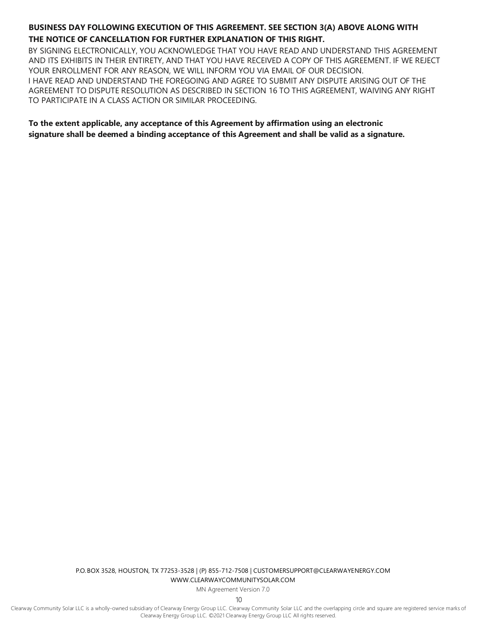## **BUSINESS DAY FOLLOWING EXECUTION OF THIS AGREEMENT. SEE SECTION 3(A) ABOVE ALONG WITH THE NOTICE OF CANCELLATION FOR FURTHER EXPLANATION OF THIS RIGHT.**

BY SIGNING ELECTRONICALLY, YOU ACKNOWLEDGE THAT YOU HAVE READ AND UNDERSTAND THIS AGREEMENT AND ITS EXHIBITS IN THEIR ENTIRETY, AND THAT YOU HAVE RECEIVED A COPY OF THIS AGREEMENT. IF WE REJECT YOUR ENROLLMENT FOR ANY REASON, WE WILL INFORM YOU VIA EMAIL OF OUR DECISION. I HAVE READ AND UNDERSTAND THE FOREGOING AND AGREE TO SUBMIT ANY DISPUTE ARISING OUT OF THE AGREEMENT TO DISPUTE RESOLUTION AS DESCRIBED IN SECTION 16 TO THIS AGREEMENT, WAIVING ANY RIGHT TO PARTICIPATE IN A CLASS ACTION OR SIMILAR PROCEEDING.

**To the extent applicable, any acceptance of this Agreement by affirmation using an electronic signature shall be deemed a binding acceptance of this Agreement and shall be valid as a signature.**

> P.O. BOX 3528, HOUSTON, TX 77253-3528 | (P) 855-712-7508 [| CUSTOMERSUPPORT@CLEARWAYENERGY.COM](mailto:CUSTOMERSUPPORT@CLEARWAYENERGY.COM) [WWW.CLEARWAYCOMMUNITYSOLAR.COM](http://www.clearwaycommunitysolar.com/)

> > MN Agreement Version 7.0

10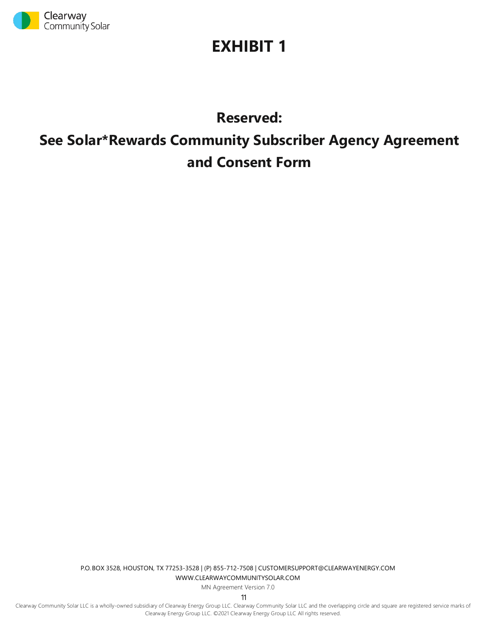

## **EXHIBIT 1**

## **Reserved: See Solar\*Rewards Community Subscriber Agency Agreement and Consent Form**

P.O. BOX 3528, HOUSTON, TX 77253-3528 | (P) 855-712-7508 [| CUSTOMERSUPPORT@CLEARWAYENERGY.COM](mailto:CUSTOMERSUPPORT@CLEARWAYENERGY.COM) [WWW.CLEARWAYCOMMUNITYSOLAR.COM](http://www.clearwaycommunitysolar.com/)

MN Agreement Version 7.0

11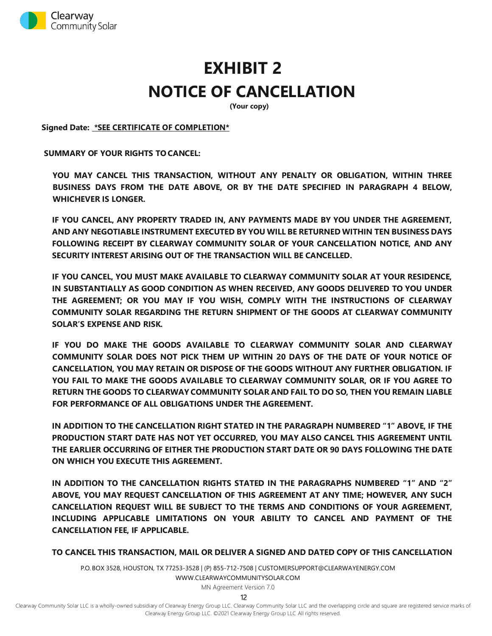

# **EXHIBIT 2 NOTICE OF CANCELLATION**

**(Your copy)**

**Signed Date: \*SEE CERTIFICATE OF COMPLETION\***

**SUMMARY OF YOUR RIGHTS TO CANCEL:**

**YOU MAY CANCEL THIS TRANSACTION, WITHOUT ANY PENALTY OR OBLIGATION, WITHIN THREE BUSINESS DAYS FROM THE DATE ABOVE, OR BY THE DATE SPECIFIED IN PARAGRAPH 4 BELOW, WHICHEVER IS LONGER.**

**IF YOU CANCEL, ANY PROPERTY TRADED IN, ANY PAYMENTS MADE BY YOU UNDER THE AGREEMENT, AND ANY NEGOTIABLE INSTRUMENT EXECUTED BY YOU WILL BE RETURNED WITHIN TEN BUSINESS DAYS FOLLOWING RECEIPT BY CLEARWAY COMMUNITY SOLAR OF YOUR CANCELLATION NOTICE, AND ANY SECURITY INTEREST ARISING OUT OF THE TRANSACTION WILL BE CANCELLED.**

**IF YOU CANCEL, YOU MUST MAKE AVAILABLE TO CLEARWAY COMMUNITY SOLAR AT YOUR RESIDENCE, IN SUBSTANTIALLY AS GOOD CONDITION AS WHEN RECEIVED, ANY GOODS DELIVERED TO YOU UNDER THE AGREEMENT; OR YOU MAY IF YOU WISH, COMPLY WITH THE INSTRUCTIONS OF CLEARWAY COMMUNITY SOLAR REGARDING THE RETURN SHIPMENT OF THE GOODS AT CLEARWAY COMMUNITY SOLAR'S EXPENSE AND RISK.**

**IF YOU DO MAKE THE GOODS AVAILABLE TO CLEARWAY COMMUNITY SOLAR AND CLEARWAY COMMUNITY SOLAR DOES NOT PICK THEM UP WITHIN 20 DAYS OF THE DATE OF YOUR NOTICE OF CANCELLATION, YOU MAY RETAIN OR DISPOSE OF THE GOODS WITHOUT ANY FURTHER OBLIGATION. IF YOU FAIL TO MAKE THE GOODS AVAILABLE TO CLEARWAY COMMUNITY SOLAR, OR IF YOU AGREE TO RETURN THE GOODS TO CLEARWAY COMMUNITY SOLAR AND FAIL TO DO SO, THEN YOU REMAIN LIABLE FOR PERFORMANCE OF ALL OBLIGATIONS UNDER THE AGREEMENT.**

**IN ADDITION TO THE CANCELLATION RIGHT STATED IN THE PARAGRAPH NUMBERED "1" ABOVE, IF THE PRODUCTION START DATE HAS NOT YET OCCURRED, YOU MAY ALSO CANCEL THIS AGREEMENT UNTIL THE EARLIER OCCURRING OF EITHER THE PRODUCTION START DATE OR 90 DAYS FOLLOWING THE DATE ON WHICH YOU EXECUTE THIS AGREEMENT.**

**IN ADDITION TO THE CANCELLATION RIGHTS STATED IN THE PARAGRAPHS NUMBERED "1" AND "2" ABOVE, YOU MAY REQUEST CANCELLATION OF THIS AGREEMENT AT ANY TIME; HOWEVER, ANY SUCH CANCELLATION REQUEST WILL BE SUBJECT TO THE TERMS AND CONDITIONS OF YOUR AGREEMENT, INCLUDING APPLICABLE LIMITATIONS ON YOUR ABILITY TO CANCEL AND PAYMENT OF THE CANCELLATION FEE, IF APPLICABLE.**

**TO CANCEL THIS TRANSACTION, MAIL OR DELIVER A SIGNED AND DATED COPY OF THIS CANCELLATION** 

P.O. BOX 3528, HOUSTON, TX 77253-3528 | (P) 855-712-7508 [| CUSTOMERSUPPORT@CLEARWAYENERGY.COM](mailto:CUSTOMERSUPPORT@CLEARWAYENERGY.COM) [WWW.CLEARWAYCOMMUNITYSOLAR.COM](http://www.clearwaycommunitysolar.com/)

MN Agreement Version 7.0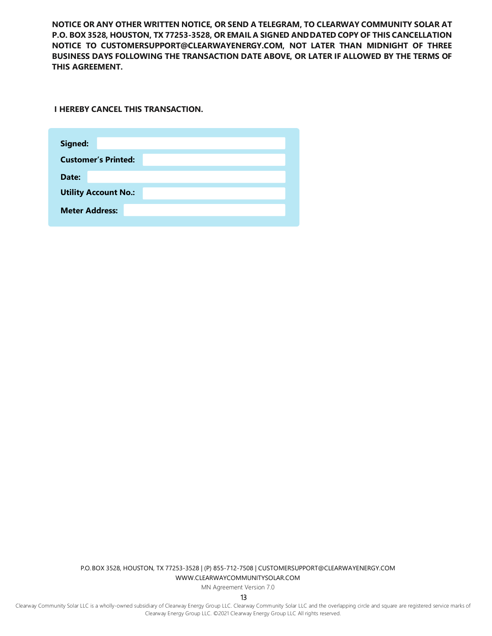**NOTICE OR ANY OTHER WRITTEN NOTICE, OR SEND A TELEGRAM, TO CLEARWAY COMMUNITY SOLAR AT P.O. BOX 3528, HOUSTON, TX 77253-3528, OR EMAIL A SIGNED ANDDATED COPY OF THIS CANCELLATION NOTICE TO [CUSTOMERSUPPORT@CLEARWAYENERGY.COM,](mailto:CUSTOMERSUPPORT@CLEARWAYENERGY.COM) NOT LATER THAN MIDNIGHT OF THREE BUSINESS DAYS FOLLOWING THE TRANSACTION DATE ABOVE, OR LATER IF ALLOWED BY THE TERMS OF THIS AGREEMENT.**

**I HEREBY CANCEL THIS TRANSACTION.**

| Signed:                     |
|-----------------------------|
| <b>Customer's Printed:</b>  |
| Date:                       |
| <b>Utility Account No.:</b> |
| <b>Meter Address:</b>       |
|                             |

P.O. BOX 3528, HOUSTON, TX 77253-3528 | (P) 855-712-7508 [| CUSTOMERSUPPORT@CLEARWAYENERGY.COM](mailto:CUSTOMERSUPPORT@CLEARWAYENERGY.COM) [WWW.CLEARWAYCOMMUNITYSOLAR.COM](http://www.clearwaycommunitysolar.com/)

MN Agreement Version 7.0

13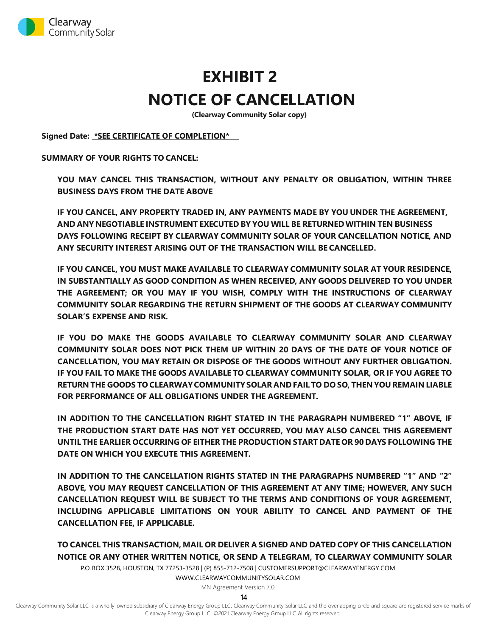

## **EXHIBIT 2 NOTICE OF CANCELLATION**

**(Clearway Community Solar copy)**

**Signed Date: \*SEE CERTIFICATE OF COMPLETION\***

**SUMMARY OF YOUR RIGHTS TO CANCEL:**

**YOU MAY CANCEL THIS TRANSACTION, WITHOUT ANY PENALTY OR OBLIGATION, WITHIN THREE BUSINESS DAYS FROM THE DATE ABOVE**

**IF YOU CANCEL, ANY PROPERTY TRADED IN, ANY PAYMENTS MADE BY YOU UNDER THE AGREEMENT, AND ANY NEGOTIABLE INSTRUMENT EXECUTED BY YOU WILL BE RETURNEDWITHIN TEN BUSINESS DAYS FOLLOWING RECEIPT BY CLEARWAY COMMUNITY SOLAR OF YOUR CANCELLATION NOTICE, AND ANY SECURITY INTEREST ARISING OUT OF THE TRANSACTION WILL BE CANCELLED.**

**IF YOU CANCEL, YOU MUST MAKE AVAILABLE TO CLEARWAY COMMUNITY SOLAR AT YOUR RESIDENCE, IN SUBSTANTIALLY AS GOOD CONDITION AS WHEN RECEIVED, ANY GOODS DELIVERED TO YOU UNDER THE AGREEMENT; OR YOU MAY IF YOU WISH, COMPLY WITH THE INSTRUCTIONS OF CLEARWAY COMMUNITY SOLAR REGARDING THE RETURN SHIPMENT OF THE GOODS AT CLEARWAY COMMUNITY SOLAR'S EXPENSE AND RISK.**

**IF YOU DO MAKE THE GOODS AVAILABLE TO CLEARWAY COMMUNITY SOLAR AND CLEARWAY COMMUNITY SOLAR DOES NOT PICK THEM UP WITHIN 20 DAYS OF THE DATE OF YOUR NOTICE OF CANCELLATION, YOU MAY RETAIN OR DISPOSE OF THE GOODS WITHOUT ANY FURTHER OBLIGATION. IF YOU FAIL TO MAKE THE GOODS AVAILABLE TO CLEARWAY COMMUNITY SOLAR, OR IF YOU AGREE TO RETURN THE GOODS TO CLEARWAYCOMMUNITYSOLAR AND FAIL TO DO SO, THEN YOU REMAIN LIABLE FOR PERFORMANCE OF ALL OBLIGATIONS UNDER THE AGREEMENT.**

**IN ADDITION TO THE CANCELLATION RIGHT STATED IN THE PARAGRAPH NUMBERED "1" ABOVE, IF THE PRODUCTION START DATE HAS NOT YET OCCURRED, YOU MAY ALSO CANCEL THIS AGREEMENT UNTIL THE EARLIER OCCURRING OF EITHER THE PRODUCTION START DATE OR 90 DAYS FOLLOWING THE DATE ON WHICH YOU EXECUTE THIS AGREEMENT.**

**IN ADDITION TO THE CANCELLATION RIGHTS STATED IN THE PARAGRAPHS NUMBERED "1" AND "2" ABOVE, YOU MAY REQUEST CANCELLATION OF THIS AGREEMENT AT ANY TIME; HOWEVER, ANY SUCH CANCELLATION REQUEST WILL BE SUBJECT TO THE TERMS AND CONDITIONS OF YOUR AGREEMENT, INCLUDING APPLICABLE LIMITATIONS ON YOUR ABILITY TO CANCEL AND PAYMENT OF THE CANCELLATION FEE, IF APPLICABLE.**

**TO CANCEL THIS TRANSACTION, MAIL OR DELIVER A SIGNED AND DATED COPY OF THIS CANCELLATION NOTICE OR ANY OTHER WRITTEN NOTICE, OR SEND A TELEGRAM, TO CLEARWAY COMMUNITY SOLAR** 

P.O. BOX 3528, HOUSTON, TX 77253-3528 | (P) 855-712-7508 [| CUSTOMERSUPPORT@CLEARWAYENERGY.COM](mailto:CUSTOMERSUPPORT@CLEARWAYENERGY.COM)

[WWW.CLEARWAYCOMMUNITYSOLAR.COM](http://www.clearwaycommunitysolar.com/)

MN Agreement Version 7.0